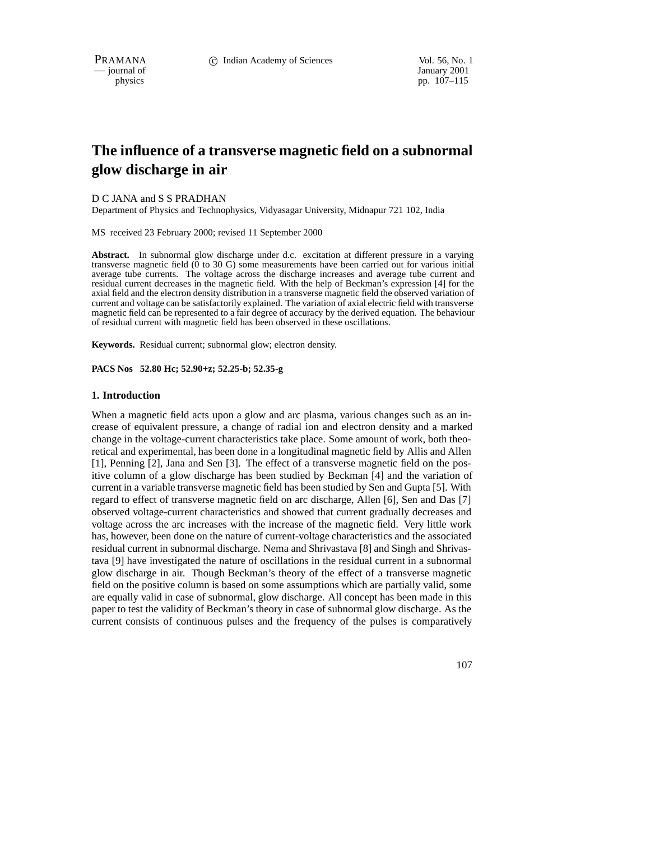$\overline{\phantom{a}}$  journal of

physics pp. 107–115

# **The influence of a transverse magnetic field on a subnormal glow discharge in air**

#### D C JANA and S S PRADHAN

Department of Physics and Technophysics, Vidyasagar University, Midnapur 721 102, India

MS received 23 February 2000; revised 11 September 2000

Abstract. In subnormal glow discharge under d.c. excitation at different pressure in a varying transverse magnetic field  $(\bar{0}$  to 30 G) some measurements have been carried out for various initial average tube currents. The voltage across the discharge increases and average tube current and residual current decreases in the magnetic field. With the help of Beckman's expression [4] for the axial field and the electron density distribution in a transverse magnetic field the observed variation of current and voltage can be satisfactorily explained. The variation of axial electric field with transverse magnetic field can be represented to a fair degree of accuracy by the derived equation. The behaviour of residual current with magnetic field has been observed in these oscillations.

**Keywords.** Residual current; subnormal glow; electron density.

**PACS Nos 52.80 Hc; 52.90+z; 52.25-b; 52.35-g**

#### **1. Introduction**

When a magnetic field acts upon a glow and arc plasma, various changes such as an increase of equivalent pressure, a change of radial ion and electron density and a marked change in the voltage-current characteristics take place. Some amount of work, both theoretical and experimental, has been done in a longitudinal magnetic field by Allis and Allen [1], Penning [2], Jana and Sen [3]. The effect of a transverse magnetic field on the positive column of a glow discharge has been studied by Beckman [4] and the variation of current in a variable transverse magnetic field has been studied by Sen and Gupta [5]. With regard to effect of transverse magnetic field on arc discharge, Allen [6], Sen and Das [7] observed voltage-current characteristics and showed that current gradually decreases and voltage across the arc increases with the increase of the magnetic field. Very little work has, however, been done on the nature of current-voltage characteristics and the associated residual current in subnormal discharge. Nema and Shrivastava [8] and Singh and Shrivastava [9] have investigated the nature of oscillations in the residual current in a subnormal glow discharge in air. Though Beckman's theory of the effect of a transverse magnetic field on the positive column is based on some assumptions which are partially valid, some are equally valid in case of subnormal, glow discharge. All concept has been made in this paper to test the validity of Beckman's theory in case of subnormal glow discharge. As the current consists of continuous pulses and the frequency of the pulses is comparatively

107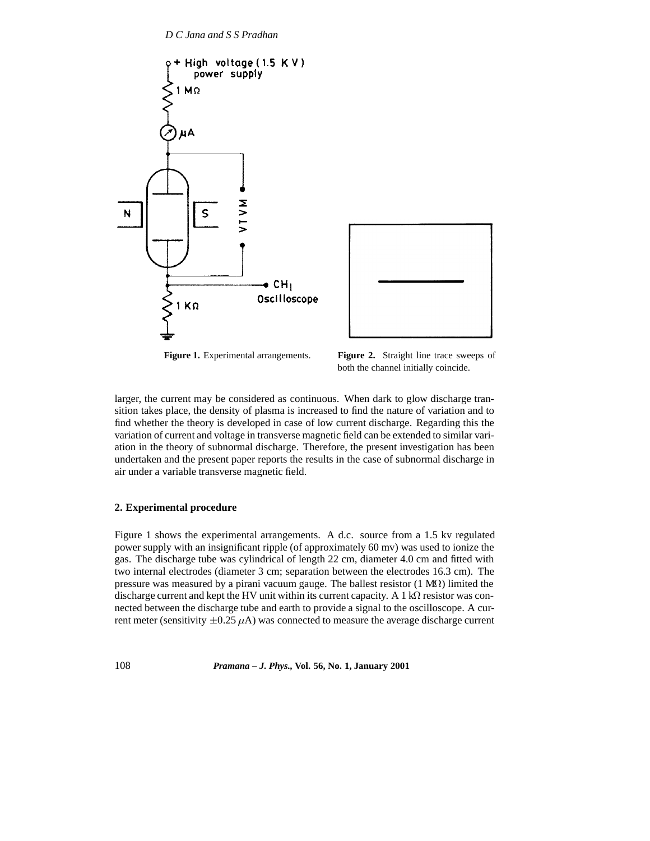



**Figure 1.** Experimental arrangements. **Figure 2.** Straight line trace sweeps of both the channel initially coincide.

larger, the current may be considered as continuous. When dark to glow discharge transition takes place, the density of plasma is increased to find the nature of variation and to find whether the theory is developed in case of low current discharge. Regarding this the variation of current and voltage in transverse magnetic field can be extended to similar variation in the theory of subnormal discharge. Therefore, the present investigation has been undertaken and the present paper reports the results in the case of subnormal discharge in air under a variable transverse magnetic field.

## **2. Experimental procedure**

Figure 1 shows the experimental arrangements. A d.c. source from a 1.5 kv regulated power supply with an insignificant ripple (of approximately 60 mv) was used to ionize the gas. The discharge tube was cylindrical of length 22 cm, diameter 4.0 cm and fitted with two internal electrodes (diameter 3 cm; separation between the electrodes 16.3 cm). The pressure was measured by a pirani vacuum gauge. The ballest resistor  $(1 \text{ M}\Omega)$  limited the discharge current and kept the HV unit within its current capacity. A 1  $\mathrm{k}\Omega$  resistor was connected between the discharge tube and earth to provide a signal to the oscilloscope. A current meter (sensitivity  $\pm 0.25 \mu A$ ) was connected to measure the average discharge current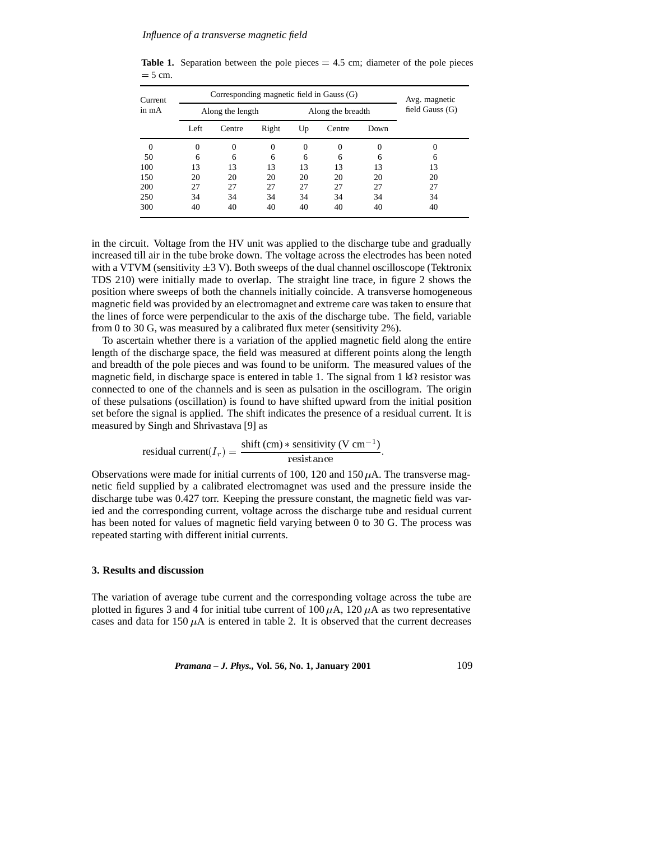| Current  | Corresponding magnetic field in Gauss (G) | Avg. magnetic |          |                   |          |          |                   |
|----------|-------------------------------------------|---------------|----------|-------------------|----------|----------|-------------------|
| in mA    | Along the length                          |               |          | Along the breadth |          |          | field Gauss $(G)$ |
|          | Left                                      | Centre        | Right    | Up                | Centre   | Down     |                   |
| $\Omega$ | $\Omega$                                  |               | $\Omega$ | $_{0}$            | $\Omega$ | $\Omega$ |                   |
| 50       | 6                                         | 6             | 6        | 6                 | 6        | 6        | 6                 |
| 100      | 13                                        | 13            | 13       | 13                | 13       | 13       | 13                |
| 150      | 20                                        | 20            | 20       | 20                | 20       | 20       | 20                |
| 200      | 27                                        | 27            | 27       | 27                | 27       | 27       | 27                |
| 250      | 34                                        | 34            | 34       | 34                | 34       | 34       | 34                |
| 300      | 40                                        | 40            | 40       | 40                | 40       | 40       | 40                |

**Table 1.** Separation between the pole pieces  $= 4.5$  cm; diameter of the pole pieces  $= 5$  cm.

in the circuit. Voltage from the HV unit was applied to the discharge tube and gradually increased till air in the tube broke down. The voltage across the electrodes has been noted with a VTVM (sensitivity  $\pm 3$  V). Both sweeps of the dual channel oscilloscope (Tektronix TDS 210) were initially made to overlap. The straight line trace, in figure 2 shows the position where sweeps of both the channels initially coincide. A transverse homogeneous magnetic field was provided by an electromagnet and extreme care was taken to ensure that the lines of force were perpendicular to the axis of the discharge tube. The field, variable from 0 to 30 G, was measured by a calibrated flux meter (sensitivity 2%).

To ascertain whether there is a variation of the applied magnetic field along the entire length of the discharge space, the field was measured at different points along the length and breadth of the pole pieces and was found to be uniform. The measured values of the magnetic field, in discharge space is entered in table 1. The signal from  $1 \text{ k}\Omega$  resistor was connected to one of the channels and is seen as pulsation in the oscillogram. The origin of these pulsations (oscillation) is found to have shifted upward from the initial position set before the signal is applied. The shift indicates the presence of a residual current. It is measured by Singh and Shrivastava [9] as

residual current(
$$
I_r
$$
) =  $\frac{\text{shift (cm) * sensitivity (V cm-1)}{\text{resistance}}$ .

Observations were made for initial currents of 100, 120 and 150  $\mu$ A. The transverse magnetic field supplied by a calibrated electromagnet was used and the pressure inside the discharge tube was 0.427 torr. Keeping the pressure constant, the magnetic field was varied and the corresponding current, voltage across the discharge tube and residual current has been noted for values of magnetic field varying between 0 to 30 G. The process was repeated starting with different initial currents.

## **3. Results and discussion**

The variation of average tube current and the corresponding voltage across the tube are plotted in figures 3 and 4 for initial tube current of 100  $\mu$ A, 120  $\mu$ A as two representative cases and data for 150  $\mu$ A is entered in table 2. It is observed that the current decreases

*Pramana – J. Phys.,* **Vol. 56, No. 1, January 2001** 109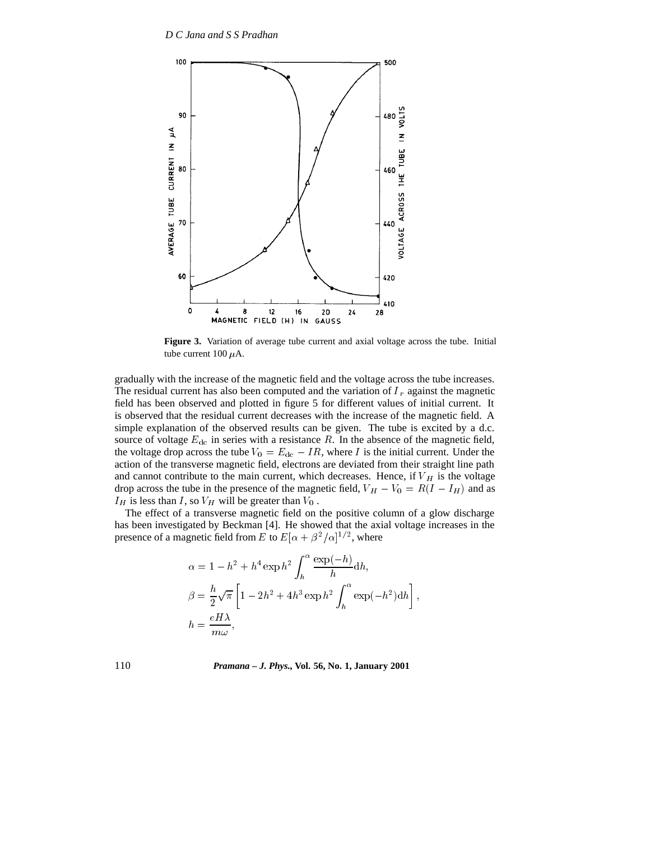

**Figure 3.** Variation of average tube current and axial voltage across the tube. Initial tube current 100  $\mu$ A.

gradually with the increase of the magnetic field and the voltage across the tube increases. The residual current has also been computed and the variation of  $I_r$  against the magnetic field has been observed and plotted in figure 5 for different values of initial current. It is observed that the residual current decreases with the increase of the magnetic field. A simple explanation of the observed results can be given. The tube is excited by a d.c. source of voltage  $E_{dc}$  in series with a resistance R. In the absence of the magnetic field, the voltage drop across the tube  $V_0 = E_{dc} - IR$ , where I is the initial current. Under the action of the transverse magnetic field, electrons are deviated from their straight line path and cannot contribute to the main current, which decreases. Hence, if  $V_H$  is the voltage drop across the tube in the presence of the magnetic field,  $V_H - V_0 = R(I - I_H)$  and as  $I_H$  is less than I, so  $V_H$  will be greater than  $V_0$ .

The effect of a transverse magnetic field on the positive column of a glow discharge has been investigated by Beckman [4]. He showed that the axial voltage increases in the presence of a magnetic field from E to  $E[\alpha + \beta^2/\alpha]^{1/2}$ , where

$$
\alpha = 1 - h^2 + h^4 \exp h^2 \int_h^\alpha \frac{\exp(-h)}{h} dh,
$$
  
\n
$$
\beta = \frac{h}{2} \sqrt{\pi} \left[ 1 - 2h^2 + 4h^3 \exp h^2 \int_h^\alpha \exp(-h^2) dh \right],
$$
  
\n
$$
h = \frac{eH\lambda}{m\omega},
$$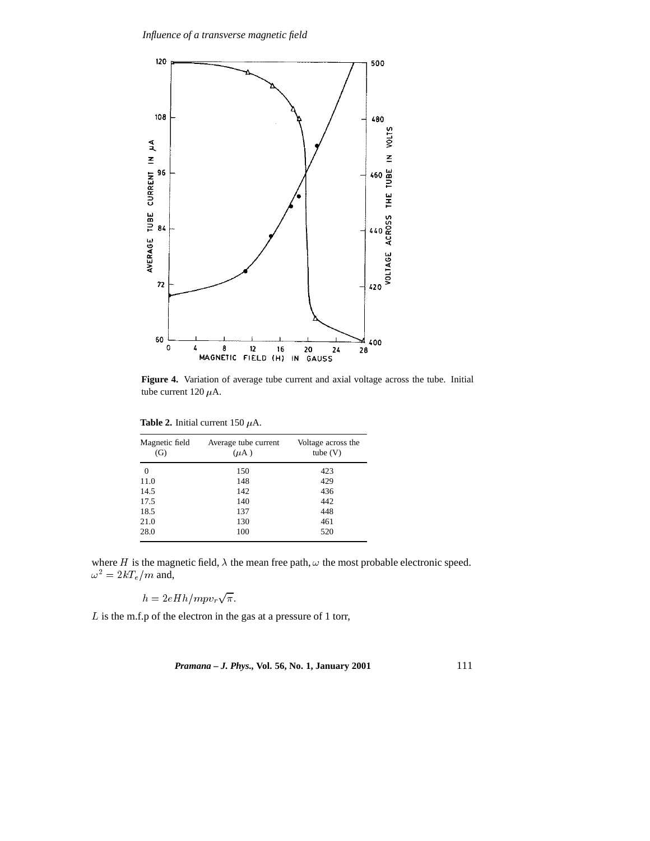

**Figure 4.** Variation of average tube current and axial voltage across the tube. Initial tube current 120  $\mu$ A.

| <b>Table 2.</b> Initial current 150 $\mu$ A. |  |  |  |  |
|----------------------------------------------|--|--|--|--|
|----------------------------------------------|--|--|--|--|

| Magnetic field<br>(G) | Average tube current<br>$(\mu A)$ | Voltage across the<br>tube $(V)$ |  |  |
|-----------------------|-----------------------------------|----------------------------------|--|--|
| 0                     | 150                               | 423                              |  |  |
| 11.0                  | 148                               | 429                              |  |  |
| 14.5                  | 142                               | 436                              |  |  |
| 17.5                  | 140                               | 442                              |  |  |
| 18.5                  | 137                               | 448                              |  |  |
| 21.0                  | 130                               | 461                              |  |  |
| 28.0                  | 100                               | 520                              |  |  |

where H is the magnetic field,  $\lambda$  the mean free path,  $\omega$  the most probable electronic speed.  $\omega^2 = 2kT_e/m$  and,

$$
h = 2eHh/mpv_r\sqrt{\pi}.
$$

<sup>L</sup> is the m.f.p of the electron in the gas at a pressure of 1 torr,

*Pramana – J. Phys.,* **Vol. 56, No. 1, January 2001** 111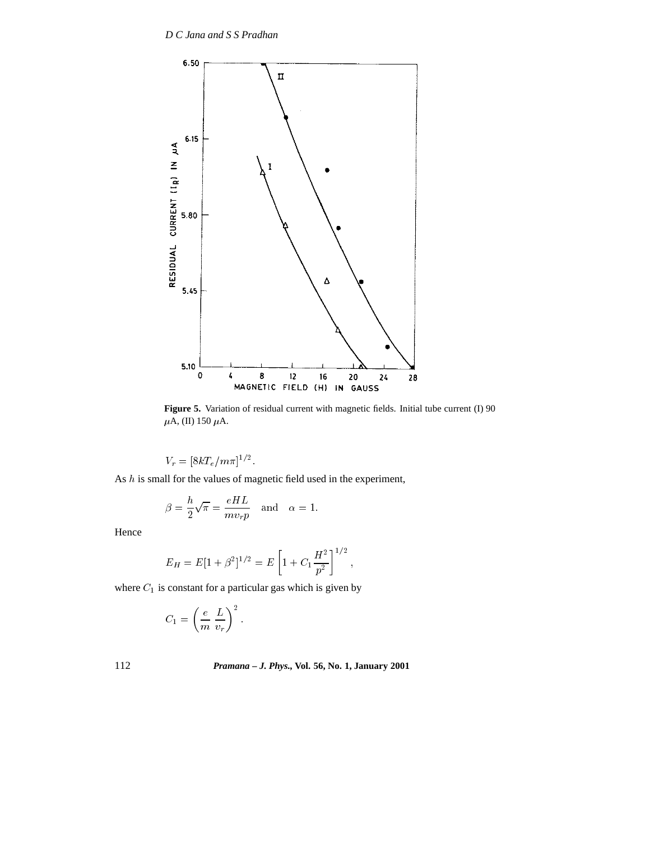

**Figure 5.** Variation of residual current with magnetic fields. Initial tube current (I) 90  $\mu$ A, (II) 150 $\mu$ A.

the contract of the contract of the contract of the contract of the contract of

 $V_r = \left[\delta \kappa I_e/m\pi\right]$ '.

As  $h$  is small for the values of magnetic field used in the experiment,

$$
\beta = \frac{h}{2}\sqrt{\pi} = \frac{eHL}{mv_r p} \quad \text{and} \quad \alpha = 1.
$$

Hence

$$
E_H = E[1 + \beta^2]^{1/2} = E\left[1 + C_1 \frac{H^2}{p^2}\right]^{1/2},
$$

where  $C_1$  is constant for a particular gas which is given by

$$
C_1 = \left(\frac{e}{m} \frac{L}{v_r}\right)^2.
$$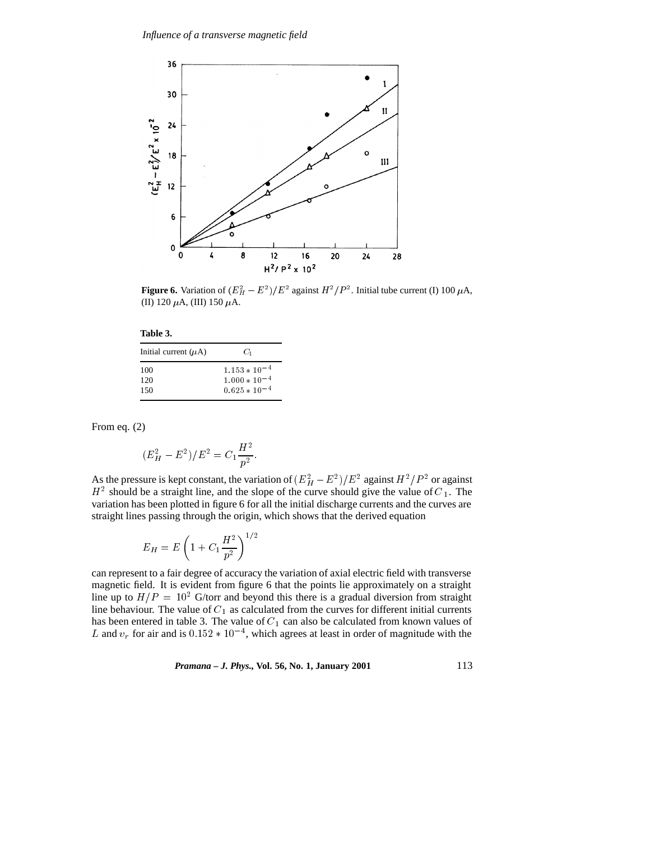

**Figure 6.** Variation of  $(E_H^2 - E^2)/E^2$  against  $H^2/P^2$ . Initial tube current (I) 100  $\mu$ A, (II) 120  $\mu$ A, (III) 150  $\mu$ A.

| Initial current $(\mu A)$ | G,                |
|---------------------------|-------------------|
| 100                       | $1.153 * 10^{-4}$ |
| 120                       | $1.000 * 10^{-4}$ |
| 150                       | $0.625 * 10^{-4}$ |

From eq. (2)

$$
(E_H^2 - E^2)/E^2 = C_1 \frac{H^2}{p^2}.
$$

As the pressure is kept constant, the variation of  $(E_H^2 - E^2)/E^2$  against  $H^2/P^2$  or against  $H<sup>2</sup>$  should be a straight line, and the slope of the curve should give the value of  $C<sub>1</sub>$ . The variation has been plotted in figure 6 for all the initial discharge currents and the curves are straight lines passing through the origin, which shows that the derived equation

$$
E_H = E \left( 1 + C_1 \frac{H^2}{p^2} \right)^{1/2}
$$

can represent to a fair degree of accuracy the variation of axial electric field with transverse magnetic field. It is evident from figure 6 that the points lie approximately on a straight line up to  $H/P = 10^2$  G/torr and beyond this there is a gradual diversion from straight line behaviour. The value of  $C_1$  as calculated from the curves for different initial currents has been entered in table 3. The value of  $C_1$  can also be calculated from known values of L and  $v_r$  for air and is  $0.152 * 10^{-4}$ , which agrees at least in order of magnitude with the

*Pramana – J. Phys.,* **Vol. 56, No. 1, January 2001** 113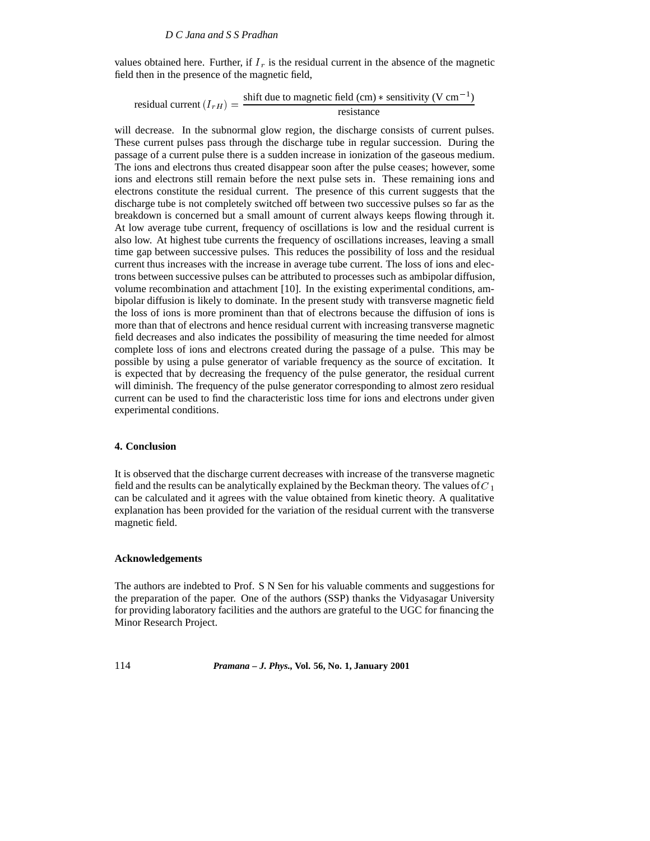values obtained here. Further, if  $I_r$  is the residual current in the absence of the magnetic field then in the presence of the magnetic field,

residual current 
$$
(I_{rH}) = \frac{\text{shift due to magnetic field (cm)} * \text{ sensitivity (V cm}^{-1})}{\text{resistance}}
$$

will decrease. In the subnormal glow region, the discharge consists of current pulses. These current pulses pass through the discharge tube in regular succession. During the passage of a current pulse there is a sudden increase in ionization of the gaseous medium. The ions and electrons thus created disappear soon after the pulse ceases; however, some ions and electrons still remain before the next pulse sets in. These remaining ions and electrons constitute the residual current. The presence of this current suggests that the discharge tube is not completely switched off between two successive pulses so far as the breakdown is concerned but a small amount of current always keeps flowing through it. At low average tube current, frequency of oscillations is low and the residual current is also low. At highest tube currents the frequency of oscillations increases, leaving a small time gap between successive pulses. This reduces the possibility of loss and the residual current thus increases with the increase in average tube current. The loss of ions and electrons between successive pulses can be attributed to processes such as ambipolar diffusion, volume recombination and attachment [10]. In the existing experimental conditions, ambipolar diffusion is likely to dominate. In the present study with transverse magnetic field the loss of ions is more prominent than that of electrons because the diffusion of ions is more than that of electrons and hence residual current with increasing transverse magnetic field decreases and also indicates the possibility of measuring the time needed for almost complete loss of ions and electrons created during the passage of a pulse. This may be possible by using a pulse generator of variable frequency as the source of excitation. It is expected that by decreasing the frequency of the pulse generator, the residual current will diminish. The frequency of the pulse generator corresponding to almost zero residual current can be used to find the characteristic loss time for ions and electrons under given experimental conditions.

#### **4. Conclusion**

It is observed that the discharge current decreases with increase of the transverse magnetic field and the results can be analytically explained by the Beckman theory. The values of  $C_1$ can be calculated and it agrees with the value obtained from kinetic theory. A qualitative explanation has been provided for the variation of the residual current with the transverse magnetic field.

## **Acknowledgements**

The authors are indebted to Prof. S N Sen for his valuable comments and suggestions for the preparation of the paper. One of the authors (SSP) thanks the Vidyasagar University for providing laboratory facilities and the authors are grateful to the UGC for financing the Minor Research Project.